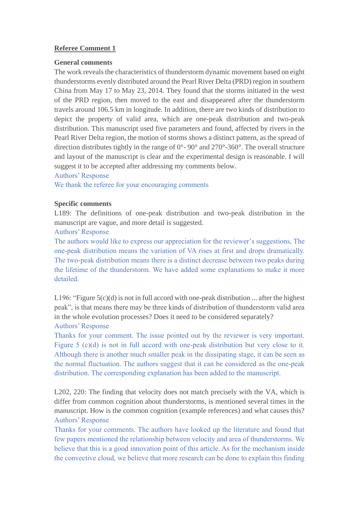# **Referee Comment 1**

## **General comments**

The work reveals the characteristics of thunderstorm dynamic movement based on eight thunderstorms evenly distributed around the Pearl River Delta (PRD) region in southern China from May 17 to May 23, 2014. They found that the storms initiated in the west of the PRD region, then moved to the east and disappeared after the thunderstorm travels around 106.5 km in longitude. In addition, there are two kinds of distribution to depict the property of valid area, which are one-peak distribution and two-peak distribution. This manuscript used five parameters and found, affected by rivers in the Pearl River Delta region, the motion of storms shows a distinct pattern, as the spread of direction distributes tightly in the range of 0°- 90° and 270°-360°. The overall structure and layout of the manuscript is clear and the experimental design is reasonable. I will suggest it to be accepted after addressing my comments below.

#### Authors' Response

We thank the referee for your encouraging comments

#### **Specific comments**

L189: The definitions of one-peak distribution and two-peak distribution in the manuscript are vague, and more detail is suggested.

## Authors' Response

The authors would like to express our appreciation for the reviewer's suggestions, The one-peak distribution means the variation of VA rises at first and drops dramatically. The two-peak distribution means there is a distinct decrease between two peaks during the lifetime of the thunderstorm. We have added some explanations to make it more detailed.

L196: "Figure  $5(c)(d)$  is not in full accord with one-peak distribution ... after the highest peak", is that means there may be three kinds of distribution of thunderstorm valid area in the whole evolution processes? Does it need to be considered separately? Authors' Response

Thanks for your comment. The issue pointed out by the reviewer is very important. Figure 5 (c)(d) is not in full accord with one-peak distribution but very close to it. Although there is another much smaller peak in the dissipating stage, it can be seen as the normal fluctuation. The authors suggest that it can be considered as the one-peak distribution. The corresponding explanation has been added to the manuscript.

L202, 220: The finding that velocity does not match precisely with the VA, which is differ from common cognition about thunderstorms, is mentioned several times in the manuscript. How is the common cognition (example references) and what causes this? Authors' Response

Thanks for your comments. The authors have looked up the literature and found that few papers mentioned the relationship between velocity and area of thunderstorms. We believe that this is a good innovation point of this article. As for the mechanism inside the convective cloud, we believe that more research can be done to explain this finding